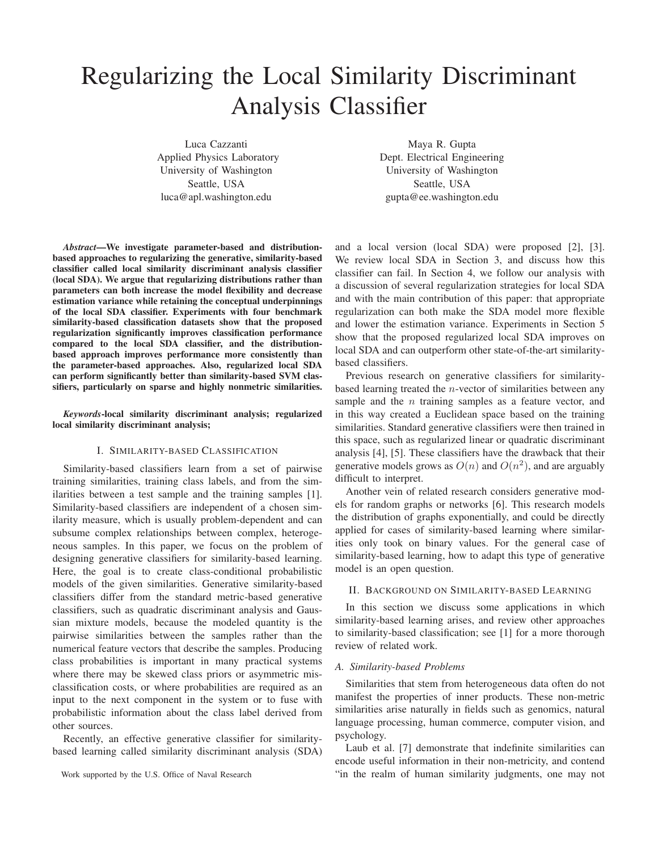# Regularizing the Local Similarity Discriminant Analysis Classifier

Luca Cazzanti Applied Physics Laboratory University of Washington Seattle, USA luca@apl.washington.edu

Maya R. Gupta Dept. Electrical Engineering University of Washington Seattle, USA gupta@ee.washington.edu

*Abstract*—We investigate parameter-based and distributionbased approaches to regularizing the generative, similarity-based classifier called local similarity discriminant analysis classifier (local SDA). We argue that regularizing distributions rather than parameters can both increase the model flexibility and decrease estimation variance while retaining the conceptual underpinnings of the local SDA classifier. Experiments with four benchmark similarity-based classification datasets show that the proposed regularization significantly improves classification performance compared to the local SDA classifier, and the distributionbased approach improves performance more consistently than the parameter-based approaches. Also, regularized local SDA can perform significantly better than similarity-based SVM classifiers, particularly on sparse and highly nonmetric similarities.

*Keywords*-local similarity discriminant analysis; regularized local similarity discriminant analysis;

## I. SIMILARITY-BASED CLASSIFICATION

Similarity-based classifiers learn from a set of pairwise training similarities, training class labels, and from the similarities between a test sample and the training samples [1]. Similarity-based classifiers are independent of a chosen similarity measure, which is usually problem-dependent and can subsume complex relationships between complex, heterogeneous samples. In this paper, we focus on the problem of designing generative classifiers for similarity-based learning. Here, the goal is to create class-conditional probabilistic models of the given similarities. Generative similarity-based classifiers differ from the standard metric-based generative classifiers, such as quadratic discriminant analysis and Gaussian mixture models, because the modeled quantity is the pairwise similarities between the samples rather than the numerical feature vectors that describe the samples. Producing class probabilities is important in many practical systems where there may be skewed class priors or asymmetric misclassification costs, or where probabilities are required as an input to the next component in the system or to fuse with probabilistic information about the class label derived from other sources.

Recently, an effective generative classifier for similaritybased learning called similarity discriminant analysis (SDA) and a local version (local SDA) were proposed [2], [3]. We review local SDA in Section 3, and discuss how this classifier can fail. In Section 4, we follow our analysis with a discussion of several regularization strategies for local SDA and with the main contribution of this paper: that appropriate regularization can both make the SDA model more flexible and lower the estimation variance. Experiments in Section 5 show that the proposed regularized local SDA improves on local SDA and can outperform other state-of-the-art similaritybased classifiers.

Previous research on generative classifiers for similaritybased learning treated the  $n$ -vector of similarities between any sample and the  $n$  training samples as a feature vector, and in this way created a Euclidean space based on the training similarities. Standard generative classifiers were then trained in this space, such as regularized linear or quadratic discriminant analysis [4], [5]. These classifiers have the drawback that their generative models grows as  $O(n)$  and  $O(n^2)$ , and are arguably difficult to interpret.

Another vein of related research considers generative models for random graphs or networks [6]. This research models the distribution of graphs exponentially, and could be directly applied for cases of similarity-based learning where similarities only took on binary values. For the general case of similarity-based learning, how to adapt this type of generative model is an open question.

## II. BACKGROUND ON SIMILARITY-BASED LEARNING

In this section we discuss some applications in which similarity-based learning arises, and review other approaches to similarity-based classification; see [1] for a more thorough review of related work.

## *A. Similarity-based Problems*

Similarities that stem from heterogeneous data often do not manifest the properties of inner products. These non-metric similarities arise naturally in fields such as genomics, natural language processing, human commerce, computer vision, and psychology.

Laub et al. [7] demonstrate that indefinite similarities can encode useful information in their non-metricity, and contend "in the realm of human similarity judgments, one may not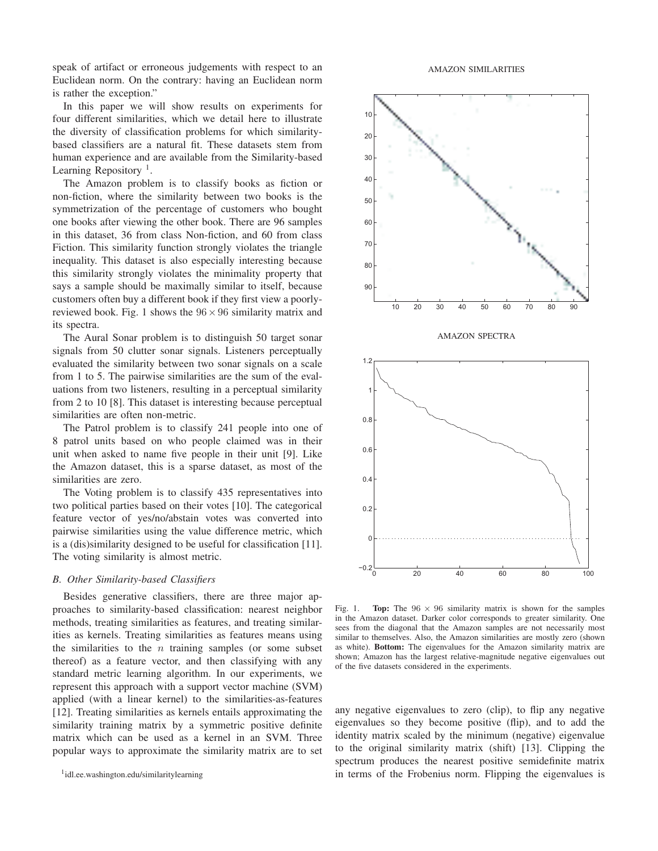speak of artifact or erroneous judgements with respect to an Euclidean norm. On the contrary: having an Euclidean norm is rather the exception."

In this paper we will show results on experiments for four different similarities, which we detail here to illustrate the diversity of classification problems for which similaritybased classifiers are a natural fit. These datasets stem from human experience and are available from the Similarity-based Learning Repository<sup>1</sup>.

The Amazon problem is to classify books as fiction or non-fiction, where the similarity between two books is the symmetrization of the percentage of customers who bought one books after viewing the other book. There are 96 samples in this dataset, 36 from class Non-fiction, and 60 from class Fiction. This similarity function strongly violates the triangle inequality. This dataset is also especially interesting because this similarity strongly violates the minimality property that says a sample should be maximally similar to itself, because customers often buy a different book if they first view a poorlyreviewed book. Fig. 1 shows the  $96 \times 96$  similarity matrix and its spectra.

The Aural Sonar problem is to distinguish 50 target sonar signals from 50 clutter sonar signals. Listeners perceptually evaluated the similarity between two sonar signals on a scale from 1 to 5. The pairwise similarities are the sum of the evaluations from two listeners, resulting in a perceptual similarity from 2 to 10 [8]. This dataset is interesting because perceptual similarities are often non-metric.

The Patrol problem is to classify 241 people into one of 8 patrol units based on who people claimed was in their unit when asked to name five people in their unit [9]. Like the Amazon dataset, this is a sparse dataset, as most of the similarities are zero.

The Voting problem is to classify 435 representatives into two political parties based on their votes [10]. The categorical feature vector of yes/no/abstain votes was converted into pairwise similarities using the value difference metric, which is a (dis)similarity designed to be useful for classification [11]. The voting similarity is almost metric.

## *B. Other Similarity-based Classifiers*

Besides generative classifiers, there are three major approaches to similarity-based classification: nearest neighbor methods, treating similarities as features, and treating similarities as kernels. Treating similarities as features means using the similarities to the  $n$  training samples (or some subset thereof) as a feature vector, and then classifying with any standard metric learning algorithm. In our experiments, we represent this approach with a support vector machine (SVM) applied (with a linear kernel) to the similarities-as-features [12]. Treating similarities as kernels entails approximating the similarity training matrix by a symmetric positive definite matrix which can be used as a kernel in an SVM. Three popular ways to approximate the similarity matrix are to set



Fig. 1. Top: The  $96 \times 96$  similarity matrix is shown for the samples in the Amazon dataset. Darker color corresponds to greater similarity. One sees from the diagonal that the Amazon samples are not necessarily most similar to themselves. Also, the Amazon similarities are mostly zero (shown as white). Bottom: The eigenvalues for the Amazon similarity matrix are shown; Amazon has the largest relative-magnitude negative eigenvalues out of the five datasets considered in the experiments.

any negative eigenvalues to zero (clip), to flip any negative eigenvalues so they become positive (flip), and to add the identity matrix scaled by the minimum (negative) eigenvalue to the original similarity matrix (shift) [13]. Clipping the spectrum produces the nearest positive semidefinite matrix in terms of the Frobenius norm. Flipping the eigenvalues is

<sup>1</sup> idl.ee.washington.edu/similaritylearning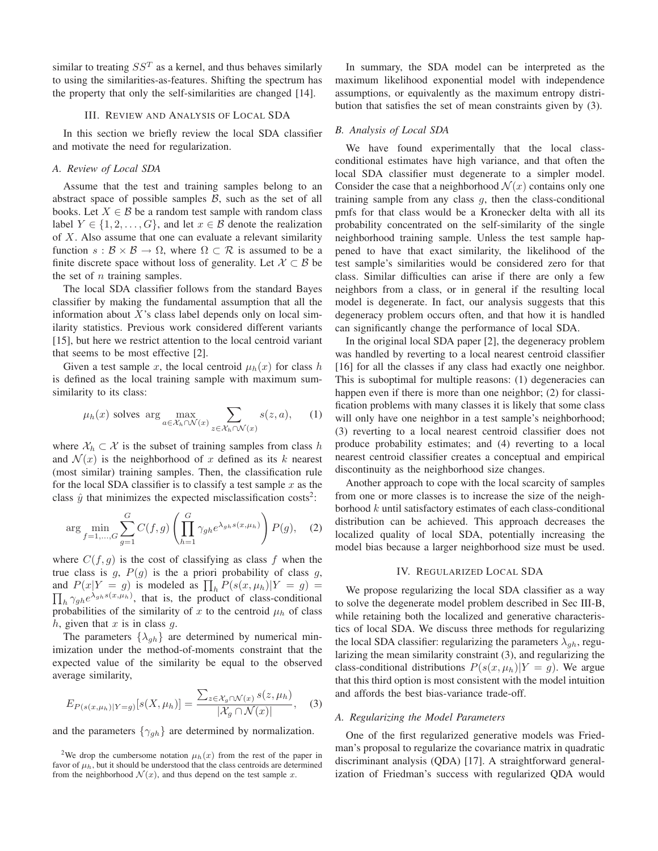similar to treating  $SS<sup>T</sup>$  as a kernel, and thus behaves similarly to using the similarities-as-features. Shifting the spectrum has the property that only the self-similarities are changed [14].

#### III. REVIEW AND ANALYSIS OF LOCAL SDA

In this section we briefly review the local SDA classifier and motivate the need for regularization.

## *A. Review of Local SDA*

Assume that the test and training samples belong to an abstract space of possible samples  $B$ , such as the set of all books. Let  $X \in \mathcal{B}$  be a random test sample with random class label  $Y \in \{1, 2, \ldots, G\}$ , and let  $x \in \mathcal{B}$  denote the realization of X. Also assume that one can evaluate a relevant similarity function  $s : \mathcal{B} \times \mathcal{B} \to \Omega$ , where  $\Omega \subset \mathcal{R}$  is assumed to be a finite discrete space without loss of generality. Let  $\mathcal{X} \subset \mathcal{B}$  be the set of  $n$  training samples.

The local SDA classifier follows from the standard Bayes classifier by making the fundamental assumption that all the information about  $X$ 's class label depends only on local similarity statistics. Previous work considered different variants [15], but here we restrict attention to the local centroid variant that seems to be most effective [2].

Given a test sample x, the local centroid  $\mu_h(x)$  for class h is defined as the local training sample with maximum sumsimilarity to its class:

$$
\mu_h(x)
$$
 solves arg  $\max_{a \in \mathcal{X}_h \cap \mathcal{N}(x)} \sum_{z \in \mathcal{X}_h \cap \mathcal{N}(x)} s(z, a),$  (1)

where  $X_h \subset \mathcal{X}$  is the subset of training samples from class h and  $\mathcal{N}(x)$  is the neighborhood of x defined as its k nearest (most similar) training samples. Then, the classification rule for the local SDA classifier is to classify a test sample  $x$  as the class  $\hat{y}$  that minimizes the expected misclassification costs<sup>2</sup>:

$$
\arg\min_{f=1,\dots,G} \sum_{g=1}^G C(f,g) \left( \prod_{h=1}^G \gamma_{gh} e^{\lambda_{gh}s(x,\mu_h)} \right) P(g), \quad (2)
$$

where  $C(f, g)$  is the cost of classifying as class f when the true class is  $g$ ,  $P(g)$  is the a priori probability of class  $g$ , and  $P(x|Y = g)$  is modeled as  $\prod_h P(s(x, \mu_h)|Y = g)$  =  $\prod_h \gamma_{gh} e^{\lambda_{gh} s(x,\mu_h)}$ , that is, the product of class-conditional probabilities of the similarity of x to the centroid  $\mu_h$  of class  $h$ , given that  $x$  is in class  $g$ .

The parameters  $\{\lambda_{gh}\}$  are determined by numerical minimization under the method-of-moments constraint that the expected value of the similarity be equal to the observed average similarity,

$$
E_{P(s(x,\mu_h)|Y=g)}[s(X,\mu_h)] = \frac{\sum_{z \in \mathcal{X}_g \cap \mathcal{N}(x)} s(z,\mu_h)}{|\mathcal{X}_g \cap \mathcal{N}(x)|},\quad(3)
$$

and the parameters  $\{\gamma_{gh}\}$  are determined by normalization.

In summary, the SDA model can be interpreted as the maximum likelihood exponential model with independence assumptions, or equivalently as the maximum entropy distribution that satisfies the set of mean constraints given by (3).

## *B. Analysis of Local SDA*

We have found experimentally that the local classconditional estimates have high variance, and that often the local SDA classifier must degenerate to a simpler model. Consider the case that a neighborhood  $\mathcal{N}(x)$  contains only one training sample from any class  $g$ , then the class-conditional pmfs for that class would be a Kronecker delta with all its probability concentrated on the self-similarity of the single neighborhood training sample. Unless the test sample happened to have that exact similarity, the likelihood of the test sample's similarities would be considered zero for that class. Similar difficulties can arise if there are only a few neighbors from a class, or in general if the resulting local model is degenerate. In fact, our analysis suggests that this degeneracy problem occurs often, and that how it is handled can significantly change the performance of local SDA.

In the original local SDA paper [2], the degeneracy problem was handled by reverting to a local nearest centroid classifier [16] for all the classes if any class had exactly one neighbor. This is suboptimal for multiple reasons: (1) degeneracies can happen even if there is more than one neighbor; (2) for classification problems with many classes it is likely that some class will only have one neighbor in a test sample's neighborhood; (3) reverting to a local nearest centroid classifier does not produce probability estimates; and (4) reverting to a local nearest centroid classifier creates a conceptual and empirical discontinuity as the neighborhood size changes.

Another approach to cope with the local scarcity of samples from one or more classes is to increase the size of the neighborhood  $k$  until satisfactory estimates of each class-conditional distribution can be achieved. This approach decreases the localized quality of local SDA, potentially increasing the model bias because a larger neighborhood size must be used.

## IV. REGULARIZED LOCAL SDA

We propose regularizing the local SDA classifier as a way to solve the degenerate model problem described in Sec III-B, while retaining both the localized and generative characteristics of local SDA. We discuss three methods for regularizing the local SDA classifier: regularizing the parameters  $\lambda_{gh}$ , regularizing the mean similarity constraint (3), and regularizing the class-conditional distributions  $P(s(x, \mu_h)|Y = g)$ . We argue that this third option is most consistent with the model intuition and affords the best bias-variance trade-off.

## *A. Regularizing the Model Parameters*

One of the first regularized generative models was Friedman's proposal to regularize the covariance matrix in quadratic discriminant analysis (QDA) [17]. A straightforward generalization of Friedman's success with regularized QDA would

<sup>&</sup>lt;sup>2</sup>We drop the cumbersome notation  $\mu_h(x)$  from the rest of the paper in favor of  $\mu_h$ , but it should be understood that the class centroids are determined from the neighborhood  $\mathcal{N}(x)$ , and thus depend on the test sample x.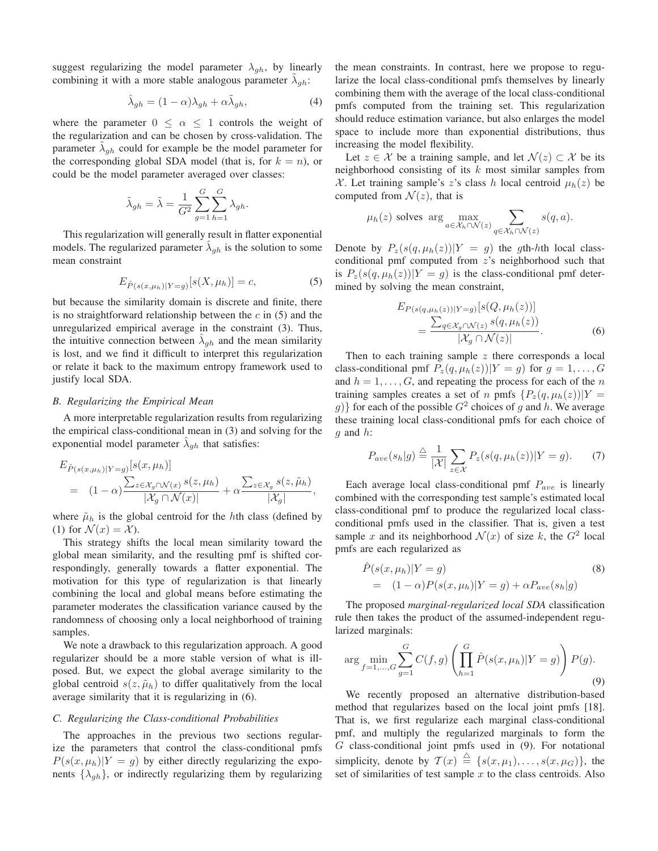suggest regularizing the model parameter  $\lambda_{gh}$ , by linearly combining it with a more stable analogous parameter  $\tilde{\lambda}_{gh}$ :

$$
\hat{\lambda}_{gh} = (1 - \alpha)\lambda_{gh} + \alpha \tilde{\lambda}_{gh},\tag{4}
$$

where the parameter  $0 \leq \alpha \leq 1$  controls the weight of the regularization and can be chosen by cross-validation. The parameter  $\tilde{\lambda}_{gh}$  could for example be the model parameter for the corresponding global SDA model (that is, for  $k = n$ ), or could be the model parameter averaged over classes:

$$
\tilde{\lambda}_{gh} = \tilde{\lambda} = \frac{1}{G^2} \sum_{g=1}^{G} \sum_{h=1}^{G} \lambda_{gh}.
$$

This regularization will generally result in flatter exponential models. The regularized parameter  $\hat{\lambda}_{gh}$  is the solution to some mean constraint

$$
E_{\hat{P}(s(x,\mu_h)|Y=g)}[s(X,\mu_h)] = c,\t\t(5)
$$

but because the similarity domain is discrete and finite, there is no straightforward relationship between the  $c$  in (5) and the unregularized empirical average in the constraint (3). Thus, the intuitive connection between  $\hat{\lambda}_{gh}$  and the mean similarity is lost, and we find it difficult to interpret this regularization or relate it back to the maximum entropy framework used to justify local SDA.

#### *B. Regularizing the Empirical Mean*

A more interpretable regularization results from regularizing the empirical class-conditional mean in (3) and solving for the exponential model parameter  $\hat{\lambda}_{gh}$  that satisfies:

$$
E_{\hat{P}(s(x,\mu_h)|Y=g)}[s(x,\mu_h)]
$$
  
=  $(1-\alpha)\frac{\sum_{z\in\mathcal{X}_g\cap\mathcal{N}(x)}s(z,\mu_h)}{|\mathcal{X}_g\cap\mathcal{N}(x)|} + \alpha\frac{\sum_{z\in\mathcal{X}_g}s(z,\tilde{\mu}_h)}{|\mathcal{X}_g|},$ 

where  $\tilde{\mu}_h$  is the global centroid for the hth class (defined by (1) for  $\mathcal{N}(x) = \mathcal{X}$ ).

This strategy shifts the local mean similarity toward the global mean similarity, and the resulting pmf is shifted correspondingly, generally towards a flatter exponential. The motivation for this type of regularization is that linearly combining the local and global means before estimating the parameter moderates the classification variance caused by the randomness of choosing only a local neighborhood of training samples.

We note a drawback to this regularization approach. A good regularizer should be a more stable version of what is illposed. But, we expect the global average similarity to the global centroid  $s(z, \tilde{\mu}_h)$  to differ qualitatively from the local average similarity that it is regularizing in (6).

#### *C. Regularizing the Class-conditional Probabilities*

The approaches in the previous two sections regularize the parameters that control the class-conditional pmfs  $P(s(x, \mu_h)|Y = g)$  by either directly regularizing the exponents  $\{\lambda_{gh}\}$ , or indirectly regularizing them by regularizing the mean constraints. In contrast, here we propose to regularize the local class-conditional pmfs themselves by linearly combining them with the average of the local class-conditional pmfs computed from the training set. This regularization should reduce estimation variance, but also enlarges the model space to include more than exponential distributions, thus increasing the model flexibility.

Let  $z \in \mathcal{X}$  be a training sample, and let  $\mathcal{N}(z) \subset \mathcal{X}$  be its neighborhood consisting of its  $k$  most similar samples from X. Let training sample's z's class h local centroid  $\mu_h(z)$  be computed from  $\mathcal{N}(z)$ , that is

$$
\mu_h(z)
$$
 solves arg  $\max_{a \in \mathcal{X}_h \cap \mathcal{N}(z)} \sum_{q \in \mathcal{X}_h \cap \mathcal{N}(z)} s(q, a)$ .

Denote by  $P_z(s(q, \mu_h(z))|Y = g)$  the gth-hth local classconditional pmf computed from z's neighborhood such that is  $P_z(s(q, \mu_h(z))|Y = g)$  is the class-conditional pmf determined by solving the mean constraint,

$$
E_{P(s(q,\mu_h(z))|Y=g)}[s(Q,\mu_h(z))]
$$
  
= 
$$
\frac{\sum_{q \in \mathcal{X}_g \cap \mathcal{N}(z)} s(q,\mu_h(z))}{|\mathcal{X}_g \cap \mathcal{N}(z)|}.
$$
 (6)

Then to each training sample  $z$  there corresponds a local class-conditional pmf  $P_z(q, \mu_h(z))|Y = g$  for  $g = 1, ..., G$ and  $h = 1, \ldots, G$ , and repeating the process for each of the n training samples creates a set of n pmfs  $\{P_z(q,\mu_h(z))|Y =$  $g$ } for each of the possible  $G^2$  choices of g and h. We average these training local class-conditional pmfs for each choice of  $q$  and  $h$ :

$$
P_{ave}(s_h|g) \stackrel{\triangle}{=} \frac{1}{|\mathcal{X}|} \sum_{z \in \mathcal{X}} P_z(s(q, \mu_h(z)) | Y = g). \tag{7}
$$

Each average local class-conditional pmf  $P_{ave}$  is linearly combined with the corresponding test sample's estimated local class-conditional pmf to produce the regularized local classconditional pmfs used in the classifier. That is, given a test sample x and its neighborhood  $\mathcal{N}(x)$  of size k, the  $G^2$  local pmfs are each regularized as

$$
\hat{P}(s(x,\mu_h)|Y=g) \tag{8}
$$
\n
$$
= (1-\alpha)P(s(x,\mu_h)|Y=g) + \alpha P_{ave}(s_h|g)
$$

The proposed *marginal-regularized local SDA* classification rule then takes the product of the assumed-independent regularized marginals:

$$
\arg \min_{f=1,\dots,G} \sum_{g=1}^{G} C(f,g) \left( \prod_{h=1}^{G} \hat{P}(s(x,\mu_h)|Y=g) \right) P(g).
$$
\n(9)

We recently proposed an alternative distribution-based method that regularizes based on the local joint pmfs [18]. That is, we first regularize each marginal class-conditional pmf, and multiply the regularized marginals to form the  $G$  class-conditional joint pmfs used in  $(9)$ . For notational simplicity, denote by  $\mathcal{T}(x) \stackrel{\triangle}{=} \{s(x,\mu_1), \ldots, s(x,\mu_G)\}\$ , the set of similarities of test sample  $x$  to the class centroids. Also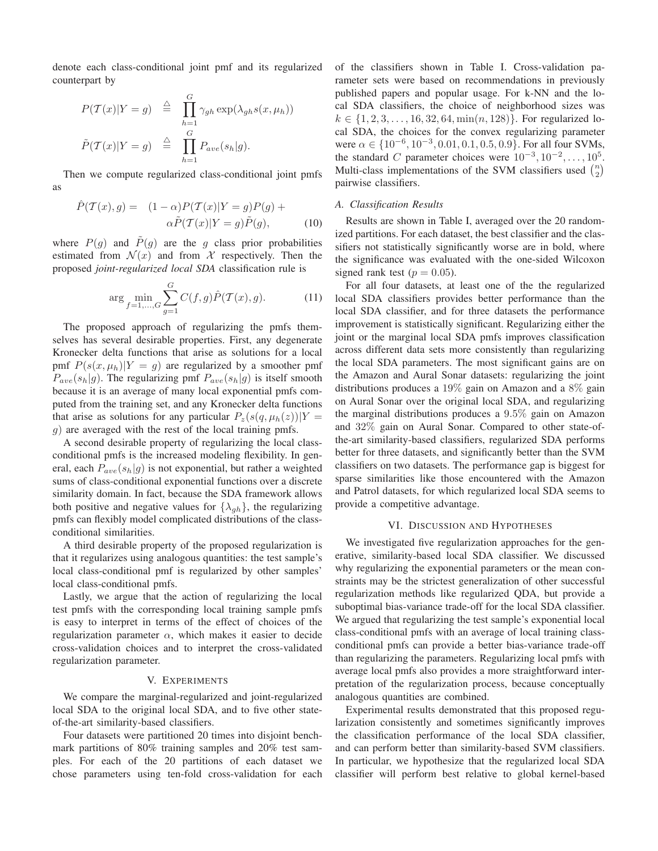denote each class-conditional joint pmf and its regularized counterpart by

$$
P(\mathcal{T}(x)|Y = g) \stackrel{\triangle}{=} \prod_{h=1}^{G} \gamma_{gh} \exp(\lambda_{gh} s(x, \mu_h))
$$
  

$$
\tilde{P}(\mathcal{T}(x)|Y = g) \stackrel{\triangle}{=} \prod_{h=1}^{G} P_{ave}(s_h|g).
$$

Then we compute regularized class-conditional joint pmfs as

$$
\hat{P}(\mathcal{T}(x), g) = (1 - \alpha) P(\mathcal{T}(x) | Y = g) P(g) +
$$

$$
\alpha \tilde{P}(\mathcal{T}(x) | Y = g) \tilde{P}(g), \tag{10}
$$

where  $P(g)$  and  $\tilde{P}(g)$  are the g class prior probabilities estimated from  $\mathcal{N}(x)$  and from X respectively. Then the proposed *joint-regularized local SDA* classification rule is

$$
\arg \min_{f=1,\dots,G} \sum_{g=1}^{G} C(f,g) \hat{P}(\mathcal{T}(x),g). \tag{11}
$$

The proposed approach of regularizing the pmfs themselves has several desirable properties. First, any degenerate Kronecker delta functions that arise as solutions for a local pmf  $P(s(x, \mu_h)|Y = g)$  are regularized by a smoother pmf  $P_{ave}(s_h|g)$ . The regularizing pmf  $P_{ave}(s_h|g)$  is itself smooth because it is an average of many local exponential pmfs computed from the training set, and any Kronecker delta functions that arise as solutions for any particular  $P_z(s(q, \mu_h(z))|Y =$ g) are averaged with the rest of the local training pmfs.

A second desirable property of regularizing the local classconditional pmfs is the increased modeling flexibility. In general, each  $P_{ave}(s_h|q)$  is not exponential, but rather a weighted sums of class-conditional exponential functions over a discrete similarity domain. In fact, because the SDA framework allows both positive and negative values for  $\{\lambda_{ah}\}\$ , the regularizing pmfs can flexibly model complicated distributions of the classconditional similarities.

A third desirable property of the proposed regularization is that it regularizes using analogous quantities: the test sample's local class-conditional pmf is regularized by other samples' local class-conditional pmfs.

Lastly, we argue that the action of regularizing the local test pmfs with the corresponding local training sample pmfs is easy to interpret in terms of the effect of choices of the regularization parameter  $\alpha$ , which makes it easier to decide cross-validation choices and to interpret the cross-validated regularization parameter.

## V. EXPERIMENTS

We compare the marginal-regularized and joint-regularized local SDA to the original local SDA, and to five other stateof-the-art similarity-based classifiers.

Four datasets were partitioned 20 times into disjoint benchmark partitions of 80% training samples and 20% test samples. For each of the 20 partitions of each dataset we chose parameters using ten-fold cross-validation for each of the classifiers shown in Table I. Cross-validation parameter sets were based on recommendations in previously published papers and popular usage. For k-NN and the local SDA classifiers, the choice of neighborhood sizes was  $k \in \{1, 2, 3, \ldots, 16, 32, 64, \min(n, 128)\}\.$  For regularized local SDA, the choices for the convex regularizing parameter were  $\alpha \in \{10^{-6}, 10^{-3}, 0.01, 0.1, 0.5, 0.9\}$ . For all four SVMs, the standard C parameter choices were  $10^{-3}, 10^{-2}, \ldots, 10^{5}$ . Multi-class implementations of the SVM classifiers used  $\binom{n}{2}$ pairwise classifiers.

## *A. Classification Results*

Results are shown in Table I, averaged over the 20 randomized partitions. For each dataset, the best classifier and the classifiers not statistically significantly worse are in bold, where the significance was evaluated with the one-sided Wilcoxon signed rank test ( $p = 0.05$ ).

For all four datasets, at least one of the the regularized local SDA classifiers provides better performance than the local SDA classifier, and for three datasets the performance improvement is statistically significant. Regularizing either the joint or the marginal local SDA pmfs improves classification across different data sets more consistently than regularizing the local SDA parameters. The most significant gains are on the Amazon and Aural Sonar datasets: regularizing the joint distributions produces a 19% gain on Amazon and a 8% gain on Aural Sonar over the original local SDA, and regularizing the marginal distributions produces a 9.5% gain on Amazon and 32% gain on Aural Sonar. Compared to other state-ofthe-art similarity-based classifiers, regularized SDA performs better for three datasets, and significantly better than the SVM classifiers on two datasets. The performance gap is biggest for sparse similarities like those encountered with the Amazon and Patrol datasets, for which regularized local SDA seems to provide a competitive advantage.

## VI. DISCUSSION AND HYPOTHESES

We investigated five regularization approaches for the generative, similarity-based local SDA classifier. We discussed why regularizing the exponential parameters or the mean constraints may be the strictest generalization of other successful regularization methods like regularized QDA, but provide a suboptimal bias-variance trade-off for the local SDA classifier. We argued that regularizing the test sample's exponential local class-conditional pmfs with an average of local training classconditional pmfs can provide a better bias-variance trade-off than regularizing the parameters. Regularizing local pmfs with average local pmfs also provides a more straightforward interpretation of the regularization process, because conceptually analogous quantities are combined.

Experimental results demonstrated that this proposed regularization consistently and sometimes significantly improves the classification performance of the local SDA classifier, and can perform better than similarity-based SVM classifiers. In particular, we hypothesize that the regularized local SDA classifier will perform best relative to global kernel-based